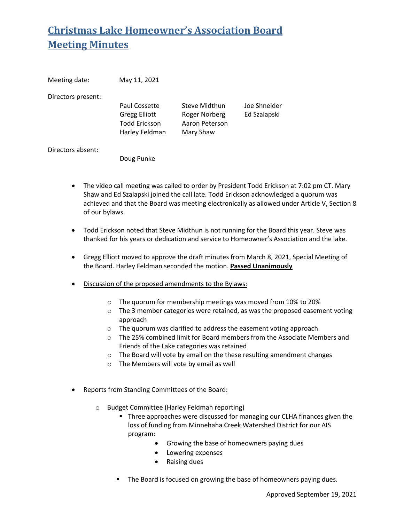# **Christmas Lake Homeowner's Association Board Meeting Minutes**

| Meeting date:      | May 11, 2021         |                |              |
|--------------------|----------------------|----------------|--------------|
| Directors present: |                      |                |              |
|                    | Paul Cossette        | Steve Midthun  | Joe Shneider |
|                    | <b>Gregg Elliott</b> | Roger Norberg  | Ed Szalapski |
|                    | <b>Todd Erickson</b> | Aaron Peterson |              |
|                    | Harley Feldman       | Mary Shaw      |              |
| Directors absent:  |                      |                |              |

Doug Punke

- The video call meeting was called to order by President Todd Erickson at 7:02 pm CT. Mary Shaw and Ed Szalapski joined the call late. Todd Erickson acknowledged a quorum was achieved and that the Board was meeting electronically as allowed under Article V, Section 8 of our bylaws.
- Todd Erickson noted that Steve Midthun is not running for the Board this year. Steve was thanked for his years or dedication and service to Homeowner's Association and the lake.
- Gregg Elliott moved to approve the draft minutes from March 8, 2021, Special Meeting of the Board. Harley Feldman seconded the motion. **Passed Unanimously**
- Discussion of the proposed amendments to the Bylaws:
	- o The quorum for membership meetings was moved from 10% to 20%
	- o The 3 member categories were retained, as was the proposed easement voting approach
	- o The quorum was clarified to address the easement voting approach.
	- o The 25% combined limit for Board members from the Associate Members and Friends of the Lake categories was retained
	- o The Board will vote by email on the these resulting amendment changes
	- o The Members will vote by email as well
- Reports from Standing Committees of the Board:
	- o Budget Committee (Harley Feldman reporting)
		- **Three approaches were discussed for managing our CLHA finances given the** loss of funding from Minnehaha Creek Watershed District for our AIS program:
			- Growing the base of homeowners paying dues
			- Lowering expenses
			- Raising dues
		- **.** The Board is focused on growing the base of homeowners paying dues.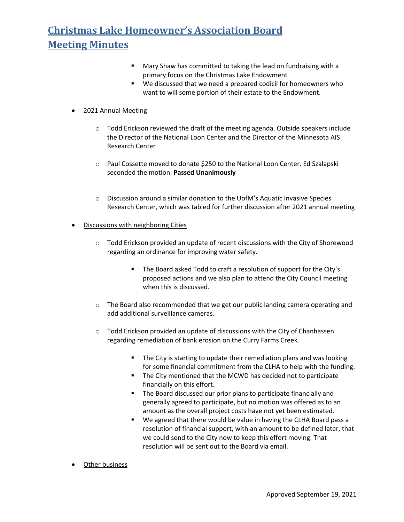## **Christmas Lake Homeowner's Association Board Meeting Minutes**

- ! Mary Shaw has committed to taking the lead on fundraising with a primary focus on the Christmas Lake Endowment
- ! We discussed that we need a prepared codicil for homeowners who want to will some portion of their estate to the Endowment.

### • 2021 Annual Meeting

- $\circ$  Todd Erickson reviewed the draft of the meeting agenda. Outside speakers include the Director of the National Loon Center and the Director of the Minnesota AIS Research Center
- o Paul Cossette moved to donate \$250 to the National Loon Center. Ed Szalapski seconded the motion. **Passed Unanimously**
- o Discussion around a similar donation to the UofM's Aquatic Invasive Species Research Center, which was tabled for further discussion after 2021 annual meeting

#### • Discussions with neighboring Cities

- $\circ$  Todd Erickson provided an update of recent discussions with the City of Shorewood regarding an ordinance for improving water safety.
	- **The Board asked Todd to craft a resolution of support for the City's** proposed actions and we also plan to attend the City Council meeting when this is discussed.
- $\circ$  The Board also recommended that we get our public landing camera operating and add additional surveillance cameras.
- $\circ$  Todd Erickson provided an update of discussions with the City of Chanhassen regarding remediation of bank erosion on the Curry Farms Creek.
	- **The City is starting to update their remediation plans and was looking** for some financial commitment from the CLHA to help with the funding.
	- ! The City mentioned that the MCWD has decided not to participate financially on this effort.
	- **The Board discussed our prior plans to participate financially and** generally agreed to participate, but no motion was offered as to an amount as the overall project costs have not yet been estimated.
	- We agreed that there would be value in having the CLHA Board pass a resolution of financial support, with an amount to be defined later, that we could send to the City now to keep this effort moving. That resolution will be sent out to the Board via email.
- Other business